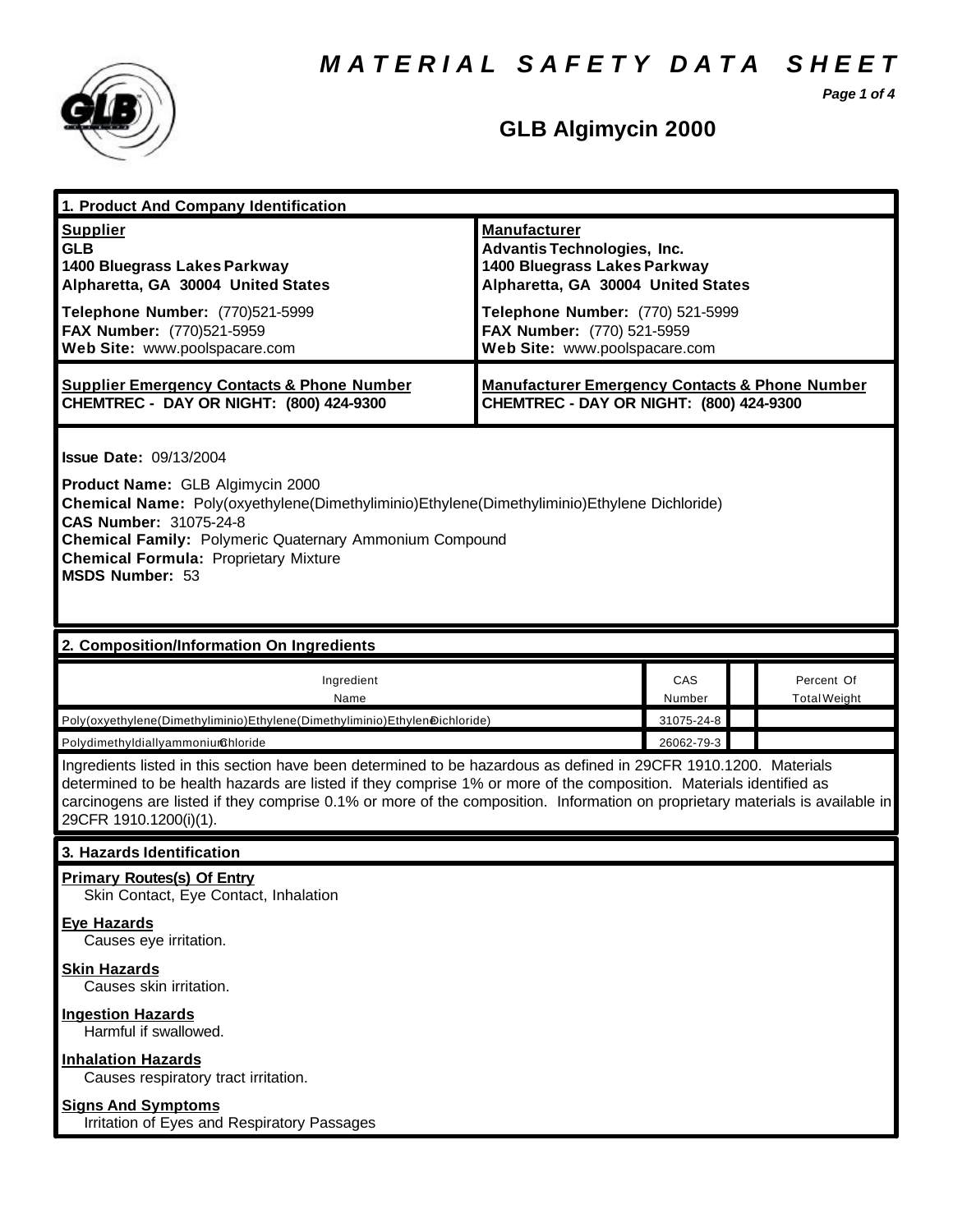*M A T E R I A L S A F E T Y D A T A S H E E T*

*Page 1 of 4*



# **GLB Algimycin 2000**

| 1. Product And Company Identification                                                                                                                                                                                                                                                                                                                                                             |                                                                                                                                                                                                                                    |               |                                   |  |
|---------------------------------------------------------------------------------------------------------------------------------------------------------------------------------------------------------------------------------------------------------------------------------------------------------------------------------------------------------------------------------------------------|------------------------------------------------------------------------------------------------------------------------------------------------------------------------------------------------------------------------------------|---------------|-----------------------------------|--|
| <b>Supplier</b><br><b>GLB</b><br>1400 Bluegrass Lakes Parkway<br>Alpharetta, GA 30004 United States<br>Telephone Number: (770)521-5999<br>FAX Number: (770)521-5959<br>Web Site: www.poolspacare.com                                                                                                                                                                                              | <b>Manufacturer</b><br><b>Advantis Technologies, Inc.</b><br>1400 Bluegrass Lakes Parkway<br>Alpharetta, GA 30004 United States<br>Telephone Number: (770) 521-5999<br>FAX Number: (770) 521-5959<br>Web Site: www.poolspacare.com |               |                                   |  |
| <b>Supplier Emergency Contacts &amp; Phone Number</b><br>CHEMTREC - DAY OR NIGHT: (800) 424-9300                                                                                                                                                                                                                                                                                                  | <b>Manufacturer Emergency Contacts &amp; Phone Number</b><br>CHEMTREC - DAY OR NIGHT: (800) 424-9300                                                                                                                               |               |                                   |  |
| <b>Issue Date: 09/13/2004</b><br>Product Name: GLB Algimycin 2000<br>Chemical Name: Poly(oxyethylene(Dimethyliminio)Ethylene(Dimethyliminio)Ethylene Dichloride)<br>CAS Number: 31075-24-8<br><b>Chemical Family: Polymeric Quaternary Ammonium Compound</b><br><b>Chemical Formula: Proprietary Mixture</b><br><b>MSDS Number: 53</b>                                                            |                                                                                                                                                                                                                                    |               |                                   |  |
| 2. Composition/Information On Ingredients                                                                                                                                                                                                                                                                                                                                                         |                                                                                                                                                                                                                                    |               |                                   |  |
| Ingredient<br>Name                                                                                                                                                                                                                                                                                                                                                                                |                                                                                                                                                                                                                                    | CAS<br>Number | Percent Of<br><b>Total Weight</b> |  |
| Poly(oxyethylene(Dimethyliminio)Ethylene(Dimethyliminio)Ethylen@ichloride)                                                                                                                                                                                                                                                                                                                        |                                                                                                                                                                                                                                    | 31075-24-8    |                                   |  |
| PolydimethyldiallyammoniurGhloride                                                                                                                                                                                                                                                                                                                                                                |                                                                                                                                                                                                                                    | 26062-79-3    |                                   |  |
| Ingredients listed in this section have been determined to be hazardous as defined in 29CFR 1910.1200. Materials<br>determined to be health hazards are listed if they comprise 1% or more of the composition. Materials identified as<br>carcinogens are listed if they comprise 0.1% or more of the composition. Information on proprietary materials is available in<br>29CFR 1910.1200(i)(1). |                                                                                                                                                                                                                                    |               |                                   |  |
| 3. Hazards Identification                                                                                                                                                                                                                                                                                                                                                                         |                                                                                                                                                                                                                                    |               |                                   |  |
| <b>Primary Routes(s) Of Entry</b><br>Skin Contact, Eye Contact, Inhalation                                                                                                                                                                                                                                                                                                                        |                                                                                                                                                                                                                                    |               |                                   |  |
| <b>Eye Hazards</b><br>Causes eye irritation.                                                                                                                                                                                                                                                                                                                                                      |                                                                                                                                                                                                                                    |               |                                   |  |
| <b>Skin Hazards</b><br>Causes skin irritation.                                                                                                                                                                                                                                                                                                                                                    |                                                                                                                                                                                                                                    |               |                                   |  |
| <b>Ingestion Hazards</b><br>Harmful if swallowed.                                                                                                                                                                                                                                                                                                                                                 |                                                                                                                                                                                                                                    |               |                                   |  |
| <b>Inhalation Hazards</b><br>Causes respiratory tract irritation.                                                                                                                                                                                                                                                                                                                                 |                                                                                                                                                                                                                                    |               |                                   |  |
|                                                                                                                                                                                                                                                                                                                                                                                                   |                                                                                                                                                                                                                                    |               |                                   |  |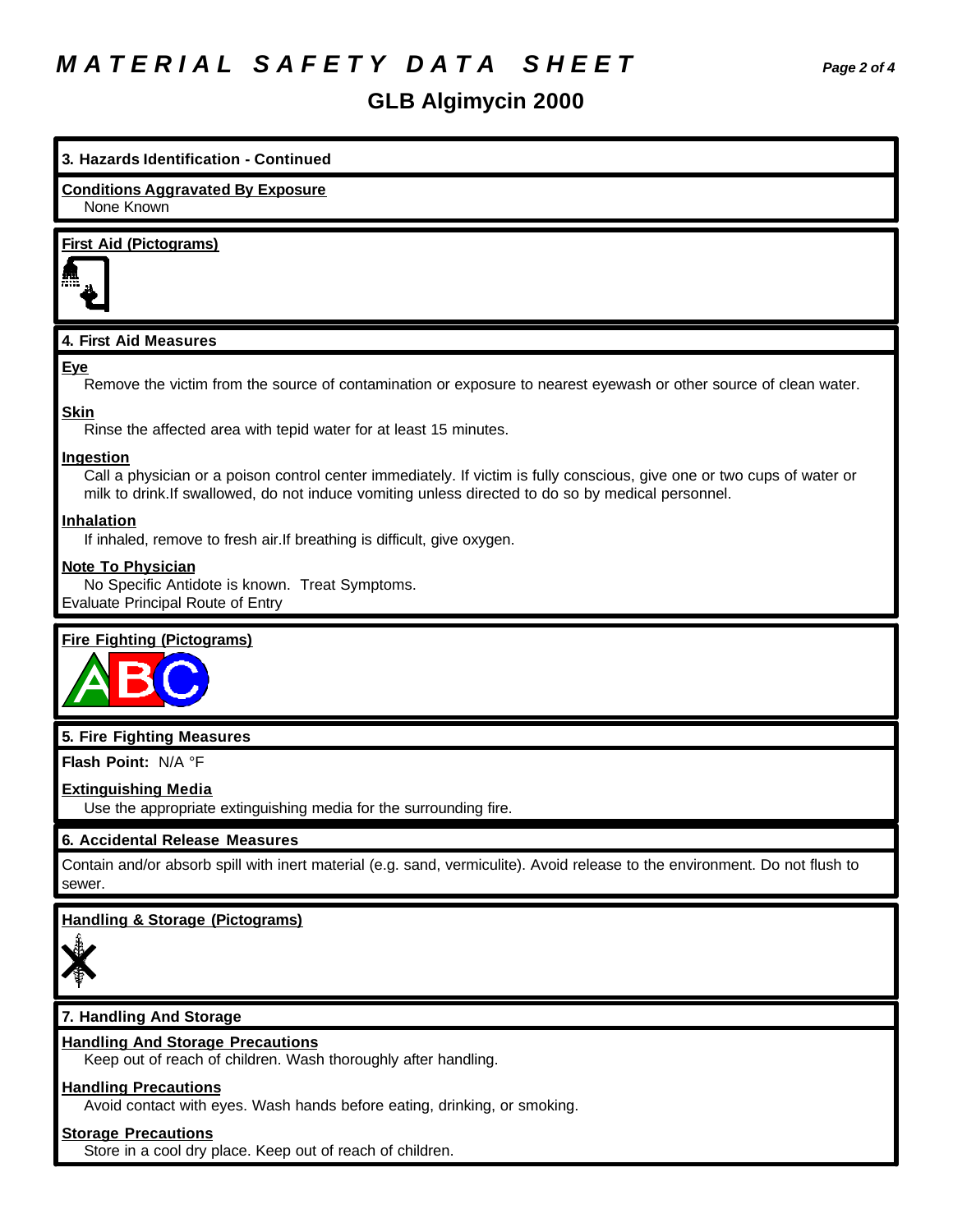# *M A T E R I A L S A F E T Y D A T A S H E E T Page 2 of 4*

# **GLB Algimycin 2000**

| 3. Hazards Identification - Continued                                                                                                                                                                                                      |
|--------------------------------------------------------------------------------------------------------------------------------------------------------------------------------------------------------------------------------------------|
| <b>Conditions Aggravated By Exposure</b><br>None Known                                                                                                                                                                                     |
| <b>First Aid (Pictograms)</b>                                                                                                                                                                                                              |
| 4. First Aid Measures                                                                                                                                                                                                                      |
| Eye<br>Remove the victim from the source of contamination or exposure to nearest eyewash or other source of clean water.                                                                                                                   |
| <b>Skin</b><br>Rinse the affected area with tepid water for at least 15 minutes.                                                                                                                                                           |
| Ingestion<br>Call a physician or a poison control center immediately. If victim is fully conscious, give one or two cups of water or<br>milk to drink. If swallowed, do not induce vomiting unless directed to do so by medical personnel. |
| <b>Inhalation</b><br>If inhaled, remove to fresh air. If breathing is difficult, give oxygen.                                                                                                                                              |
| <b>Note To Physician</b><br>No Specific Antidote is known. Treat Symptoms.<br><b>Evaluate Principal Route of Entry</b>                                                                                                                     |
| <b>Fire Fighting (Pictograms)</b>                                                                                                                                                                                                          |
| 5. Fire Fighting Measures                                                                                                                                                                                                                  |
| Flash Point: N/A °F                                                                                                                                                                                                                        |
| <b>Extinguishing Media</b><br>Use the appropriate extinguishing media for the surrounding fire.                                                                                                                                            |
| 6. Accidental Release Measures                                                                                                                                                                                                             |
| Contain and/or absorb spill with inert material (e.g. sand, vermiculite). Avoid release to the environment. Do not flush to<br>sewer.                                                                                                      |
| <b>Handling &amp; Storage (Pictograms)</b>                                                                                                                                                                                                 |
| 7. Handling And Storage                                                                                                                                                                                                                    |
| <b>Handling And Storage Precautions</b><br>Keep out of reach of children. Wash thoroughly after handling.                                                                                                                                  |
| <b>Handling Precautions</b><br>Avoid contact with eyes. Wash hands before eating, drinking, or smoking.                                                                                                                                    |
| <b>Storage Precautions</b><br>Store in a cool dry place. Keep out of reach of children.                                                                                                                                                    |

J.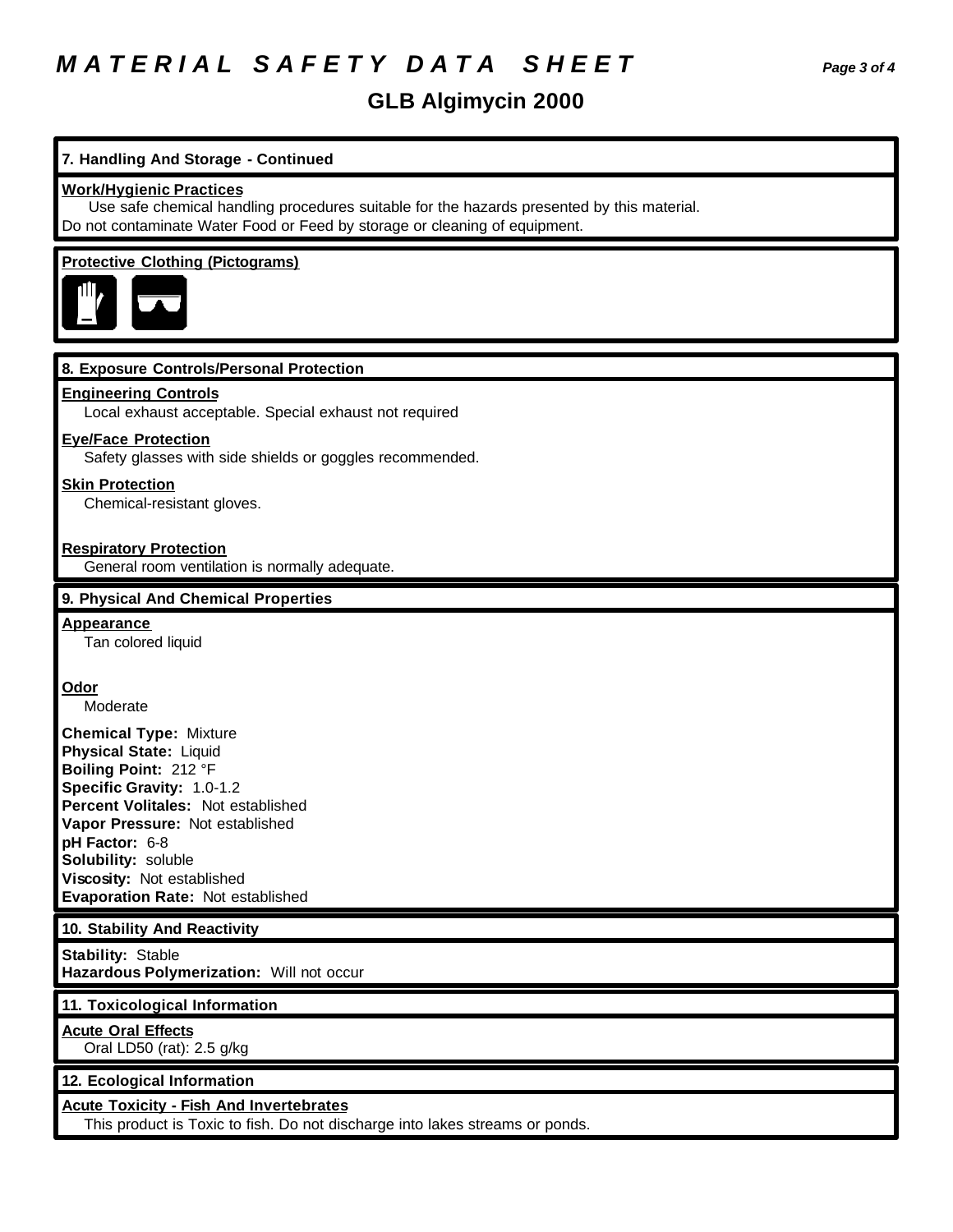# *M A T E R I A L S A F E T Y D A T A S H E E T Page 3 of 4*

# **GLB Algimycin 2000**

# **7. Handling And Storage - Continued**

#### **Work/Hygienic Practices**

 Use safe chemical handling procedures suitable for the hazards presented by this material. Do not contaminate Water Food or Feed by storage or cleaning of equipment.

#### **Protective Clothing (Pictograms)**



#### **8. Exposure Controls/Personal Protection**

#### **Engineering Controls**

Local exhaust acceptable. Special exhaust not required

#### **Eye/Face Protection**

Safety glasses with side shields or goggles recommended.

#### **Skin Protection**

Chemical-resistant gloves.

#### **Respiratory Protection**

General room ventilation is normally adequate.

#### **9. Physical And Chemical Properties**

#### **Appearance**

Tan colored liquid

#### **Odor**

Moderate

**Chemical Type:** Mixture **Physical State:** Liquid **Boiling Point:** 212 °F **Specific Gravity:** 1.0-1.2 **Percent Volitales:** Not established **Vapor Pressure:** Not established **pH Factor:** 6-8 **Solubility:** soluble **Viscosity:** Not established **Evaporation Rate:** Not established

#### **10. Stability And Reactivity**

**Stability:** Stable **Hazardous Polymerization:** Will not occur

#### **11. Toxicological Information**

## **Acute Oral Effects**

Oral LD50 (rat): 2.5 g/kg

#### **12. Ecological Information**

#### **Acute Toxicity - Fish And Invertebrates**

This product is Toxic to fish. Do not discharge into lakes streams or ponds.